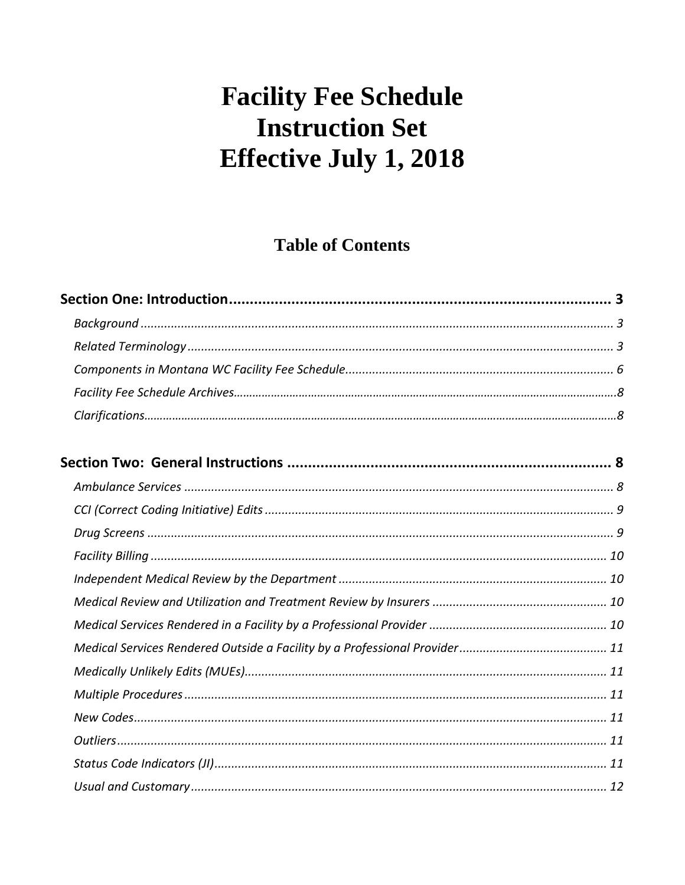# **Table of Contents**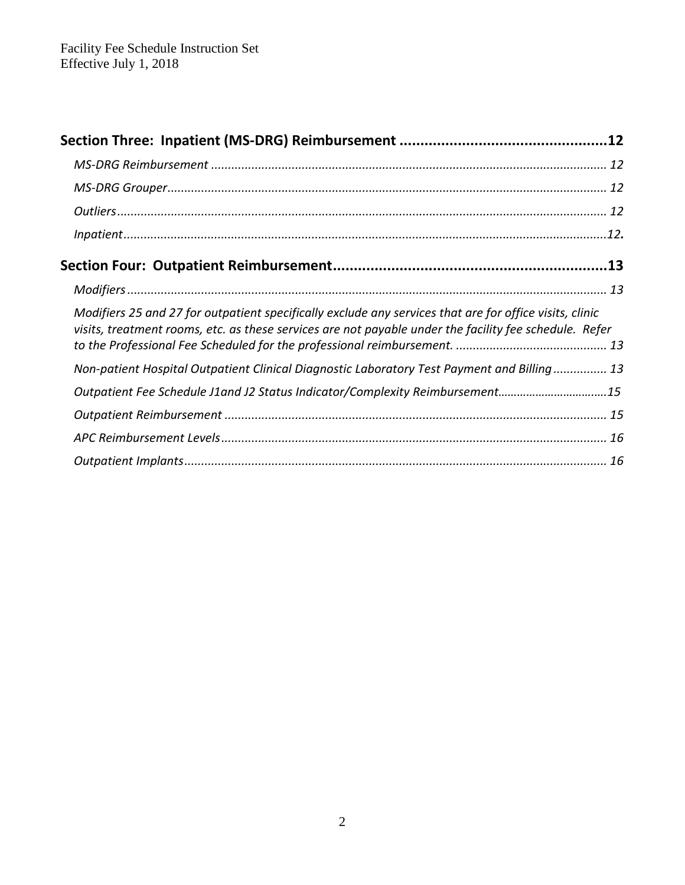| Modifiers 25 and 27 for outpatient specifically exclude any services that are for office visits, clinic<br>visits, treatment rooms, etc. as these services are not payable under the facility fee schedule. Refer |  |
|-------------------------------------------------------------------------------------------------------------------------------------------------------------------------------------------------------------------|--|
| Non-patient Hospital Outpatient Clinical Diagnostic Laboratory Test Payment and Billing 13                                                                                                                        |  |
| Outpatient Fee Schedule J1and J2 Status Indicator/Complexity Reimbursement15                                                                                                                                      |  |
|                                                                                                                                                                                                                   |  |
|                                                                                                                                                                                                                   |  |
|                                                                                                                                                                                                                   |  |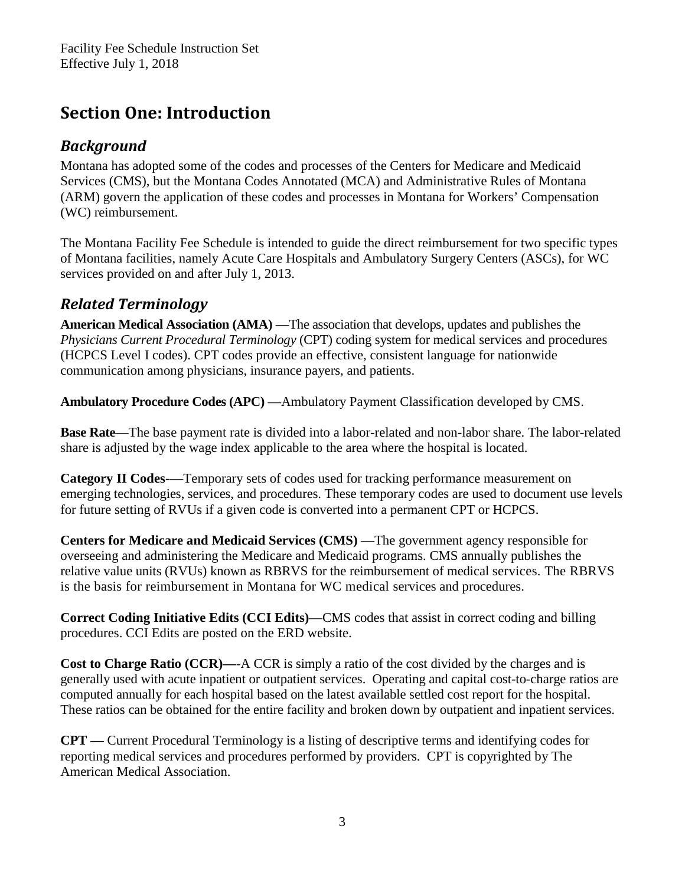# <span id="page-2-0"></span>**Section One: Introduction**

### *Background*

Montana has adopted some of the codes and processes of the Centers for Medicare and Medicaid Services (CMS), but the Montana Codes Annotated (MCA) and Administrative Rules of Montana (ARM) govern the application of these codes and processes in Montana for Workers' Compensation (WC) reimbursement.

The Montana Facility Fee Schedule is intended to guide the direct reimbursement for two specific types of Montana facilities, namely Acute Care Hospitals and Ambulatory Surgery Centers (ASCs), for WC services provided on and after July 1, 2013.

# *Related Terminology*

**American Medical Association (AMA)** —The association that develops, updates and publishes the *Physicians Current Procedural Terminology* (CPT) coding system for medical services and procedures (HCPCS Level I codes). CPT codes provide an effective, consistent language for nationwide communication among physicians, insurance payers, and patients.

**Ambulatory Procedure Codes (APC)** —Ambulatory Payment Classification developed by CMS.

**Base Rate**—The base payment rate is divided into a labor-related and non-labor share. The labor-related share is adjusted by the wage index applicable to the area where the hospital is located.

**Category II Codes**-—Temporary sets of codes used for tracking performance measurement on emerging technologies, services, and procedures. These temporary codes are used to document use levels for future setting of RVUs if a given code is converted into a permanent CPT or HCPCS.

**Centers for Medicare and Medicaid Services (CMS)** —The government agency responsible for overseeing and administering the Medicare and Medicaid programs. CMS annually publishes the relative value units (RVUs) known as RBRVS for the reimbursement of medical services. The RBRVS is the basis for reimbursement in Montana for WC medical services and procedures.

**Correct Coding Initiative Edits (CCI Edits)**—CMS codes that assist in correct coding and billing procedures. CCI Edits are posted on the ERD website.

**Cost to Charge Ratio (CCR)—**-A CCR is simply a ratio of the cost divided by the charges and is generally used with acute inpatient or outpatient services. Operating and capital cost-to-charge ratios are computed annually for each hospital based on the latest available settled cost report for the hospital. These ratios can be obtained for the entire facility and broken down by outpatient and inpatient services.

**CPT —** Current Procedural Terminology is a listing of descriptive terms and identifying codes for reporting medical services and procedures performed by providers. CPT is copyrighted by The American Medical Association.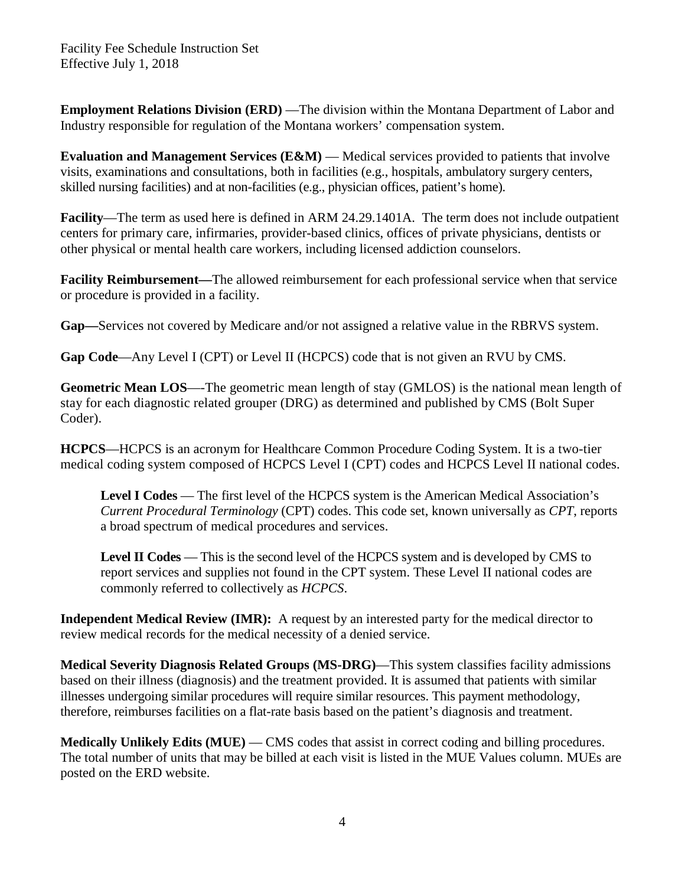**Employment Relations Division (ERD)** — The division within the Montana Department of Labor and Industry responsible for regulation of the Montana workers' compensation system.

**Evaluation and Management Services (E&M)** — Medical services provided to patients that involve visits, examinations and consultations, both in facilities (e.g., hospitals, ambulatory surgery centers, skilled nursing facilities) and at non-facilities (e.g., physician offices, patient's home).

**Facility**—The term as used here is defined in ARM 24.29.1401A. The term does not include outpatient centers for primary care, infirmaries, provider-based clinics, offices of private physicians, dentists or other physical or mental health care workers, including licensed addiction counselors.

**Facility Reimbursement—**The allowed reimbursement for each professional service when that service or procedure is provided in a facility.

**Gap—**Services not covered by Medicare and/or not assigned a relative value in the RBRVS system.

**Gap Code**—Any Level I (CPT) or Level II (HCPCS) code that is not given an RVU by CMS.

**Geometric Mean LOS**—-The geometric mean length of stay (GMLOS) is the national mean length of stay for each diagnostic related grouper (DRG) as determined and published by CMS (Bolt Super Coder).

**HCPCS**—HCPCS is an acronym for Healthcare Common Procedure Coding System. It is a two-tier medical coding system composed of HCPCS Level I (CPT) codes and HCPCS Level II national codes.

Level I Codes — The first level of the HCPCS system is the American Medical Association's *Current Procedural Terminology* (CPT) codes. This code set, known universally as *CPT*, reports a broad spectrum of medical procedures and services.

**Level II Codes** — This is the second level of the HCPCS system and is developed by CMS to report services and supplies not found in the CPT system. These Level II national codes are commonly referred to collectively as *HCPCS*.

**Independent Medical Review (IMR):** A request by an interested party for the medical director to review medical records for the medical necessity of a denied service.

**Medical Severity Diagnosis Related Groups (MS-DRG)**—This system classifies facility admissions based on their illness (diagnosis) and the treatment provided. It is assumed that patients with similar illnesses undergoing similar procedures will require similar resources. This payment methodology, therefore, reimburses facilities on a flat-rate basis based on the patient's diagnosis and treatment.

**Medically Unlikely Edits (MUE)** — CMS codes that assist in correct coding and billing procedures. The total number of units that may be billed at each visit is listed in the MUE Values column. MUEs are posted on the ERD website.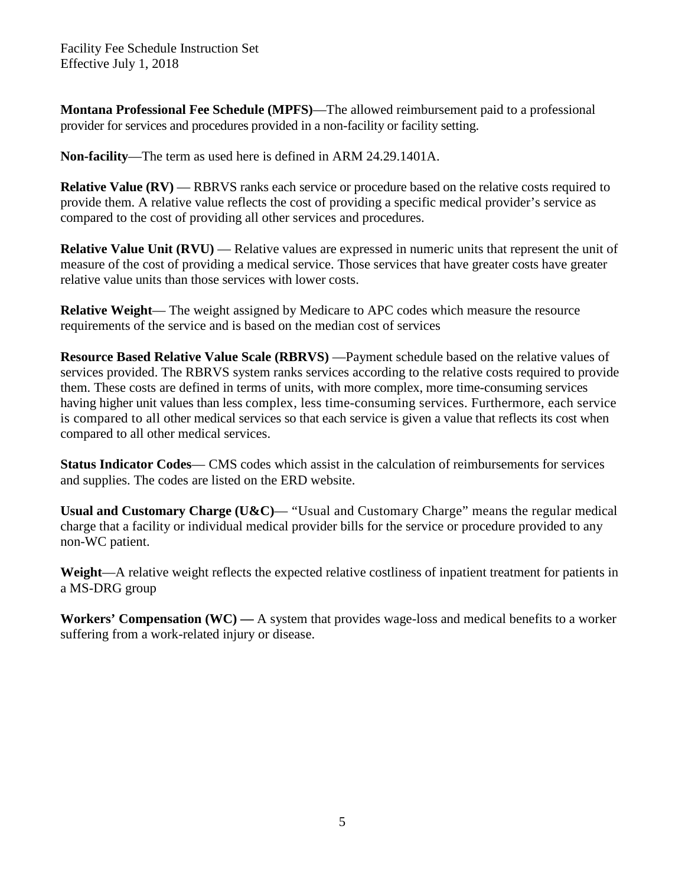**Montana Professional Fee Schedule (MPFS)**—The allowed reimbursement paid to a professional provider for services and procedures provided in a non-facility or facility setting.

**Non-facility**—The term as used here is defined in ARM 24.29.1401A.

**Relative Value (RV) — RBRVS** ranks each service or procedure based on the relative costs required to provide them. A relative value reflects the cost of providing a specific medical provider's service as compared to the cost of providing all other services and procedures.

**Relative Value Unit (RVU)** — Relative values are expressed in numeric units that represent the unit of measure of the cost of providing a medical service. Those services that have greater costs have greater relative value units than those services with lower costs.

**Relative Weight**— The weight assigned by Medicare to APC codes which measure the resource requirements of the service and is based on the median cost of services

**Resource Based Relative Value Scale (RBRVS)** —Payment schedule based on the relative values of services provided. The RBRVS system ranks services according to the relative costs required to provide them. These costs are defined in terms of units, with more complex, more time-consuming services having higher unit values than less complex, less time-consuming services. Furthermore, each service is compared to all other medical services so that each service is given a value that reflects its cost when compared to all other medical services.

**Status Indicator Codes**— CMS codes which assist in the calculation of reimbursements for services and supplies. The codes are listed on the ERD website.

**Usual and Customary Charge (U&C)**— "Usual and Customary Charge" means the regular medical charge that a facility or individual medical provider bills for the service or procedure provided to any non-WC patient.

**Weight**—A relative weight reflects the expected relative costliness of inpatient treatment for patients in a MS-DRG group

**Workers' Compensation (WC) —** A system that provides wage-loss and medical benefits to a worker suffering from a work-related injury or disease.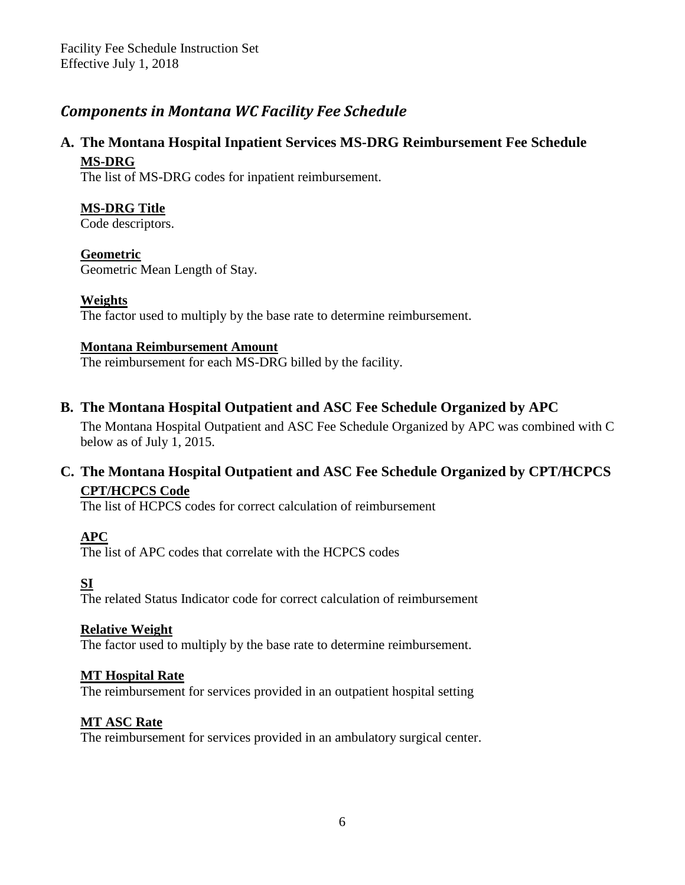# <span id="page-5-0"></span>*Components in Montana WC Facility Fee Schedule*

### **A. The Montana Hospital Inpatient Services MS-DRG Reimbursement Fee Schedule MS-DRG**

The list of MS-DRG codes for inpatient reimbursement.

#### **MS-DRG Title**

Code descriptors.

#### **Geometric**

Geometric Mean Length of Stay.

#### **Weights**

The factor used to multiply by the base rate to determine reimbursement.

#### **Montana Reimbursement Amount**

The reimbursement for each MS-DRG billed by the facility.

### **B. The Montana Hospital Outpatient and ASC Fee Schedule Organized by APC**

The Montana Hospital Outpatient and ASC Fee Schedule Organized by APC was combined with C below as of July 1, 2015.

### **C. The Montana Hospital Outpatient and ASC Fee Schedule Organized by CPT/HCPCS CPT/HCPCS Code**

The list of HCPCS codes for correct calculation of reimbursement

#### **APC**

The list of APC codes that correlate with the HCPCS codes

### **SI**

The related Status Indicator code for correct calculation of reimbursement

#### **Relative Weight**

The factor used to multiply by the base rate to determine reimbursement.

#### **MT Hospital Rate**

The reimbursement for services provided in an outpatient hospital setting

#### **MT ASC Rate**

The reimbursement for services provided in an ambulatory surgical center.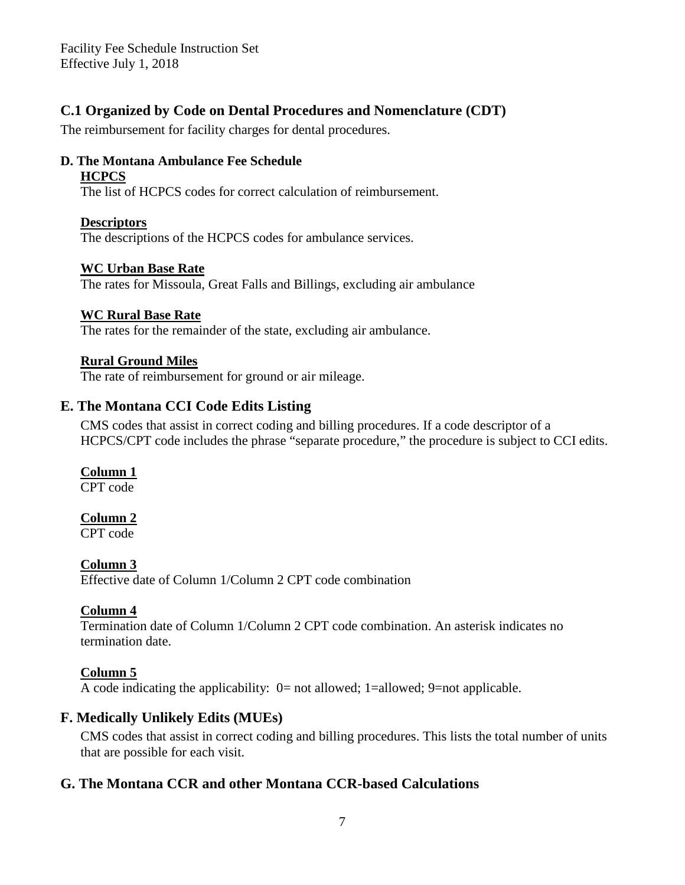### **C.1 Organized by Code on Dental Procedures and Nomenclature (CDT)**

The reimbursement for facility charges for dental procedures.

#### **D. The Montana Ambulance Fee Schedule HCPCS**

The list of HCPCS codes for correct calculation of reimbursement.

#### **Descriptors**

The descriptions of the HCPCS codes for ambulance services.

#### **WC Urban Base Rate**

The rates for Missoula, Great Falls and Billings, excluding air ambulance

#### **WC Rural Base Rate**

The rates for the remainder of the state, excluding air ambulance.

#### **Rural Ground Miles**

The rate of reimbursement for ground or air mileage.

#### **E. The Montana CCI Code Edits Listing**

CMS codes that assist in correct coding and billing procedures. If a code descriptor of a HCPCS/CPT code includes the phrase "separate procedure," the procedure is subject to CCI edits.

#### **Column 1**

CPT code

#### **Column 2**

CPT code

#### **Column 3**

Effective date of Column 1/Column 2 CPT code combination

#### **Column 4**

Termination date of Column 1/Column 2 CPT code combination. An asterisk indicates no termination date.

### **Column 5**

A code indicating the applicability: 0= not allowed; 1=allowed; 9=not applicable.

### **F. Medically Unlikely Edits (MUEs)**

CMS codes that assist in correct coding and billing procedures. This lists the total number of units that are possible for each visit.

### **G. The Montana CCR and other Montana CCR-based Calculations**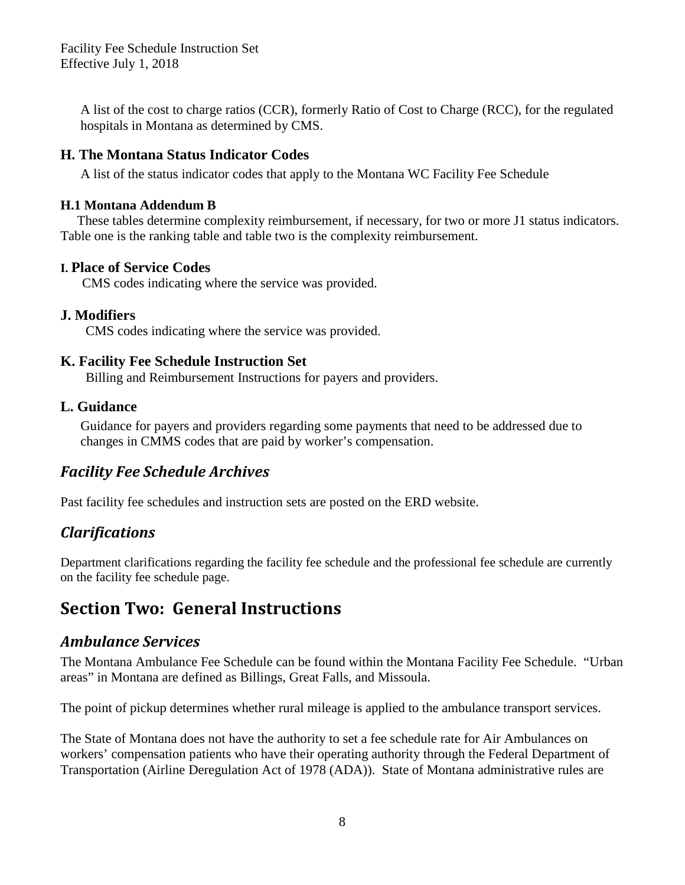<span id="page-7-0"></span>A list of the cost to charge ratios (CCR), formerly Ratio of Cost to Charge (RCC), for the regulated hospitals in Montana as determined by CMS.

#### **H. The Montana Status Indicator Codes**

A list of the status indicator codes that apply to the Montana WC Facility Fee Schedule

#### **H.1 Montana Addendum B**

These tables determine complexity reimbursement, if necessary, for two or more J1 status indicators. Table one is the ranking table and table two is the complexity reimbursement.

#### **I. Place of Service Codes**

CMS codes indicating where the service was provided.

#### **J. Modifiers**

CMS codes indicating where the service was provided.

#### **K. Facility Fee Schedule Instruction Set**

Billing and Reimbursement Instructions for payers and providers.

#### **L. Guidance**

 Guidance for payers and providers regarding some payments that need to be addressed due to changes in CMMS codes that are paid by worker's compensation.

### *[Facility](http://erd.dli.mt.gov/workers-comp-claims-assistance/medical-regulations/montana-facility-fee-schedule/19-erd/workers-comp-study-project/269-montana-facility-fee-schedule-archives.html) Fee Schedule Archives*

Past facility fee schedules and instruction sets are posted on the ERD website.

### *Clarifications*

Department clarifications regarding the facility fee schedule and the professional fee schedule are currently on the facility fee schedule page.

# **Section Two: General Instructions**

### *Ambulance Services*

The Montana Ambulance Fee Schedule can be found within the Montana Facility Fee Schedule. "Urban areas" in Montana are defined as Billings, Great Falls, and Missoula.

The point of pickup determines whether rural mileage is applied to the ambulance transport services.

The State of Montana does not have the authority to set a fee schedule rate for Air Ambulances on workers' compensation patients who have their operating authority through the Federal Department of Transportation (Airline Deregulation Act of 1978 (ADA)). State of Montana administrative rules are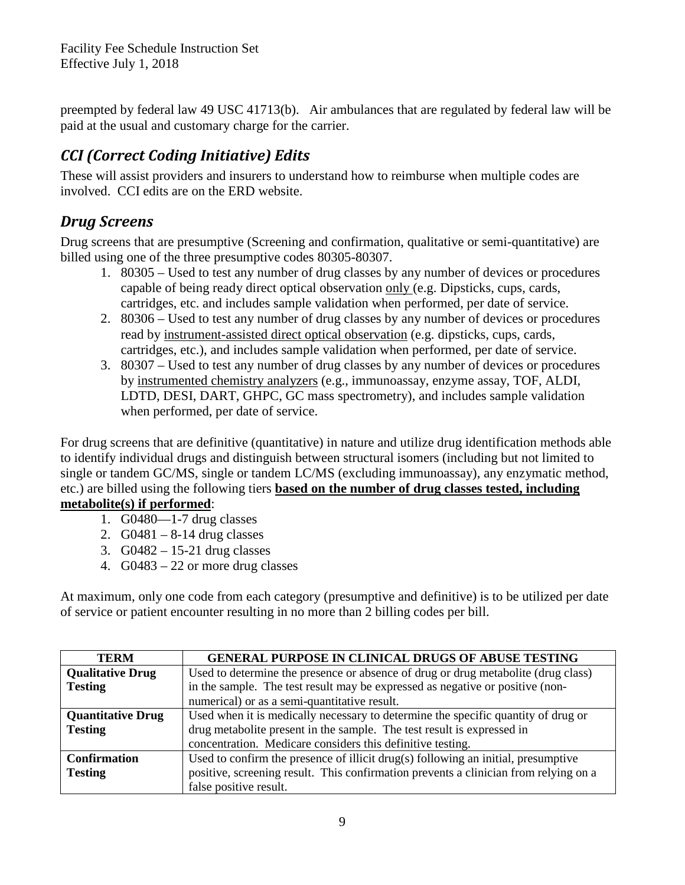<span id="page-8-0"></span>preempted by federal law 49 USC 41713(b). Air ambulances that are regulated by federal law will be paid at the usual and customary charge for the carrier.

# *CCI (Correct Coding Initiative) Edits*

These will assist providers and insurers to understand how to reimburse when multiple codes are involved. CCI edits are on the ERD website.

# *Drug Screens*

Drug screens that are presumptive (Screening and confirmation, qualitative or semi-quantitative) are billed using one of the three presumptive codes 80305-80307.

- 1. 80305 Used to test any number of drug classes by any number of devices or procedures capable of being ready direct optical observation only (e.g. Dipsticks, cups, cards, cartridges, etc. and includes sample validation when performed, per date of service.
- 2. 80306 Used to test any number of drug classes by any number of devices or procedures read by instrument-assisted direct optical observation (e.g. dipsticks, cups, cards, cartridges, etc.), and includes sample validation when performed, per date of service.
- 3. 80307 Used to test any number of drug classes by any number of devices or procedures by instrumented chemistry analyzers (e.g., immunoassay, enzyme assay, TOF, ALDI, LDTD, DESI, DART, GHPC, GC mass spectrometry), and includes sample validation when performed, per date of service.

For drug screens that are definitive (quantitative) in nature and utilize drug identification methods able to identify individual drugs and distinguish between structural isomers (including but not limited to single or tandem GC/MS, single or tandem LC/MS (excluding immunoassay), any enzymatic method, etc.) are billed using the following tiers **based on the number of drug classes tested, including metabolite(s) if performed**:

- 1. G0480—1-7 drug classes
- 2.  $G0481 8-14$  drug classes
- 3. G0482 15-21 drug classes
- 4. G0483 22 or more drug classes

At maximum, only one code from each category (presumptive and definitive) is to be utilized per date of service or patient encounter resulting in no more than 2 billing codes per bill.

| <b>TERM</b>              | <b>GENERAL PURPOSE IN CLINICAL DRUGS OF ABUSE TESTING</b>                            |
|--------------------------|--------------------------------------------------------------------------------------|
| <b>Qualitative Drug</b>  | Used to determine the presence or absence of drug or drug metabolite (drug class)    |
| <b>Testing</b>           | in the sample. The test result may be expressed as negative or positive (non-        |
|                          | numerical) or as a semi-quantitative result.                                         |
| <b>Quantitative Drug</b> | Used when it is medically necessary to determine the specific quantity of drug or    |
| <b>Testing</b>           | drug metabolite present in the sample. The test result is expressed in               |
|                          | concentration. Medicare considers this definitive testing.                           |
| <b>Confirmation</b>      | Used to confirm the presence of illicit drug(s) following an initial, presumptive    |
| <b>Testing</b>           | positive, screening result. This confirmation prevents a clinician from relying on a |
|                          | false positive result.                                                               |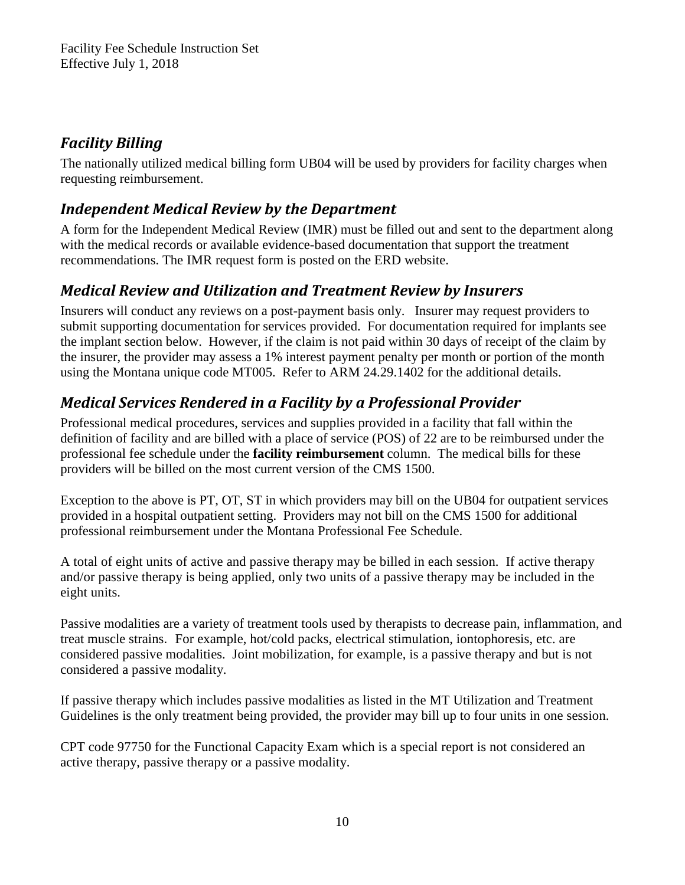# <span id="page-9-0"></span>*Facility Billing*

The nationally utilized medical billing form UB04 will be used by providers for facility charges when requesting reimbursement.

# *Independent Medical Review by the Department*

A form for the Independent Medical Review (IMR) must be filled out and sent to the department along with the medical records or available evidence-based documentation that support the treatment recommendations. The IMR request form is posted on the ERD website.

# *Medical Review and Utilization and Treatment Review by Insurers*

Insurers will conduct any reviews on a post-payment basis only. Insurer may request providers to submit supporting documentation for services provided. For documentation required for implants see the implant section below. However, if the claim is not paid within 30 days of receipt of the claim by the insurer, the provider may assess a 1% interest payment penalty per month or portion of the month using the Montana unique code MT005. Refer to ARM 24.29.1402 for the additional details.

# *Medical Services Rendered in a Facility by a Professional Provider*

Professional medical procedures, services and supplies provided in a facility that fall within the definition of facility and are billed with a place of service (POS) of 22 are to be reimbursed under the professional fee schedule under the **facility reimbursement** column. The medical bills for these providers will be billed on the most current version of the CMS 1500.

Exception to the above is PT, OT, ST in which providers may bill on the UB04 for outpatient services provided in a hospital outpatient setting. Providers may not bill on the CMS 1500 for additional professional reimbursement under the Montana Professional Fee Schedule.

A total of eight units of active and passive therapy may be billed in each session. If active therapy and/or passive therapy is being applied, only two units of a passive therapy may be included in the eight units.

Passive modalities are a variety of treatment tools used by therapists to decrease pain, inflammation, and treat muscle strains. For example, hot/cold packs, electrical stimulation, iontophoresis, etc. are considered passive modalities. Joint mobilization, for example, is a passive therapy and but is not considered a passive modality.

If passive therapy which includes passive modalities as listed in the MT Utilization and Treatment Guidelines is the only treatment being provided, the provider may bill up to four units in one session.

CPT code 97750 for the Functional Capacity Exam which is a special report is not considered an active therapy, passive therapy or a passive modality.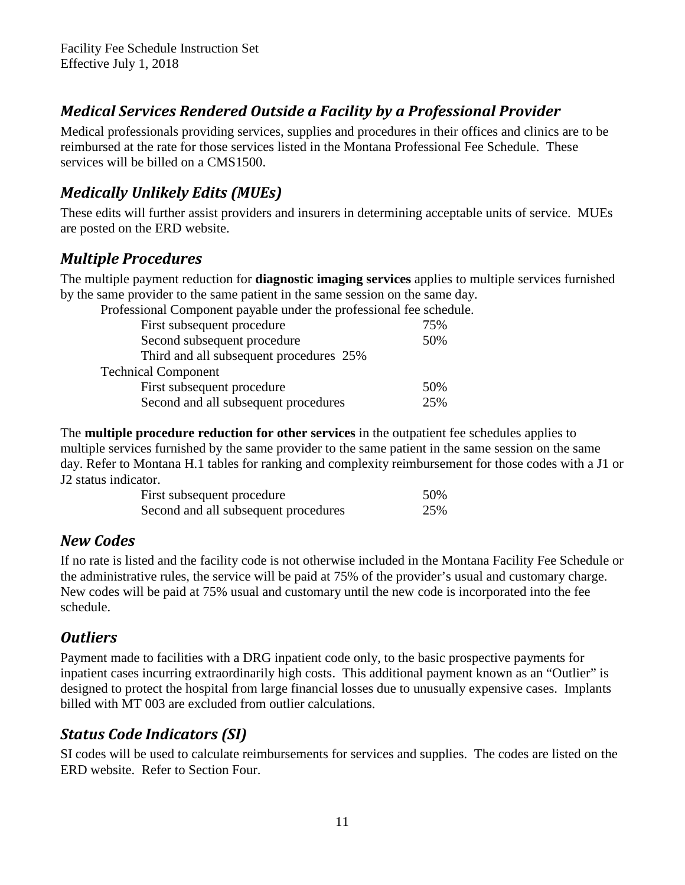# <span id="page-10-0"></span>*Medical Services Rendered Outside a Facility by a Professional Provider*

Medical professionals providing services, supplies and procedures in their offices and clinics are to be reimbursed at the rate for those services listed in the Montana Professional Fee Schedule. These services will be billed on a CMS1500.

# *Medically Unlikely Edits (MUEs)*

These edits will further assist providers and insurers in determining acceptable units of service. MUEs are posted on the ERD website.

### *Multiple Procedures*

The multiple payment reduction for **diagnostic imaging services** applies to multiple services furnished by the same provider to the same patient in the same session on the same day.

| Professional Component payable under the professional fee schedule. |     |
|---------------------------------------------------------------------|-----|
| First subsequent procedure                                          | 75% |
| Second subsequent procedure                                         | 50% |
| Third and all subsequent procedures 25%                             |     |
| <b>Technical Component</b>                                          |     |
| First subsequent procedure                                          | 50% |
| Second and all subsequent procedures                                | 25% |

The **multiple procedure reduction for other services** in the outpatient fee schedules applies to multiple services furnished by the same provider to the same patient in the same session on the same day. Refer to Montana H.1 tables for ranking and complexity reimbursement for those codes with a J1 or J2 status indicator.

| First subsequent procedure           | 50% |
|--------------------------------------|-----|
| Second and all subsequent procedures | 25% |

# *New Codes*

If no rate is listed and the facility code is not otherwise included in the Montana Facility Fee Schedule or the administrative rules, the service will be paid at 75% of the provider's usual and customary charge. New codes will be paid at 75% usual and customary until the new code is incorporated into the fee schedule.

# *Outliers*

Payment made to facilities with a DRG inpatient code only, to the basic prospective payments for inpatient cases incurring extraordinarily high costs. This additional payment known as an "Outlier" is designed to protect the hospital from large financial losses due to unusually expensive cases. Implants billed with MT 003 are excluded from outlier calculations.

# *Status Code Indicators (SI)*

SI codes will be used to calculate reimbursements for services and supplies. The codes are listed on the ERD website. Refer to Section Four.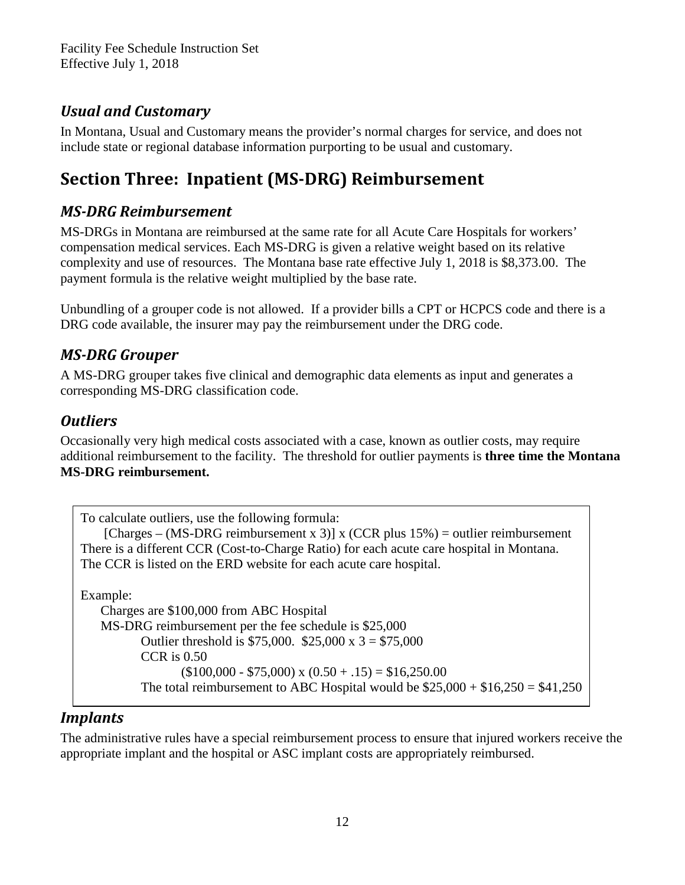# <span id="page-11-0"></span>*Usual and Customary*

In Montana, Usual and Customary means the provider's normal charges for service, and does not include state or regional database information purporting to be usual and customary.

# **Section Three: Inpatient (MS-DRG) Reimbursement**

# *MS-DRG Reimbursement*

MS-DRGs in Montana are reimbursed at the same rate for all Acute Care Hospitals for workers' compensation medical services. Each MS-DRG is given a relative weight based on its relative complexity and use of resources. The Montana base rate effective July 1, 2018 is \$8,373.00. The payment formula is the relative weight multiplied by the base rate.

Unbundling of a grouper code is not allowed. If a provider bills a CPT or HCPCS code and there is a DRG code available, the insurer may pay the reimbursement under the DRG code.

# *MS-DRG Grouper*

A MS-DRG grouper takes five clinical and demographic data elements as input and generates a corresponding MS-DRG classification code.

# *Outliers*

Occasionally very high medical costs associated with a case, known as outlier costs, may require additional reimbursement to the facility. The threshold for outlier payments is **three time the Montana MS-DRG reimbursement.**

```
To calculate outliers, use the following formula:
    [Charges – (MS-DRG reimbursement x 3)] x (CCR plus 15\%) = outlier reimbursement
There is a different CCR (Cost-to-Charge Ratio) for each acute care hospital in Montana. 
The CCR is listed on the ERD website for each acute care hospital.
Example:
   Charges are $100,000 from ABC Hospital
   MS-DRG reimbursement per the fee schedule is $25,000
          Outlier threshold is $75,000. $25,000 x 3 = $75,000CCR is 0.50
                  ($100,000 - $75,000) \times (0.50 + .15) = $16,250.00The total reimbursement to ABC Hospital would be $25,000 + $16,250 = $41,250
```
# *Implants*

The administrative rules have a special reimbursement process to ensure that injured workers receive the appropriate implant and the hospital or ASC implant costs are appropriately reimbursed.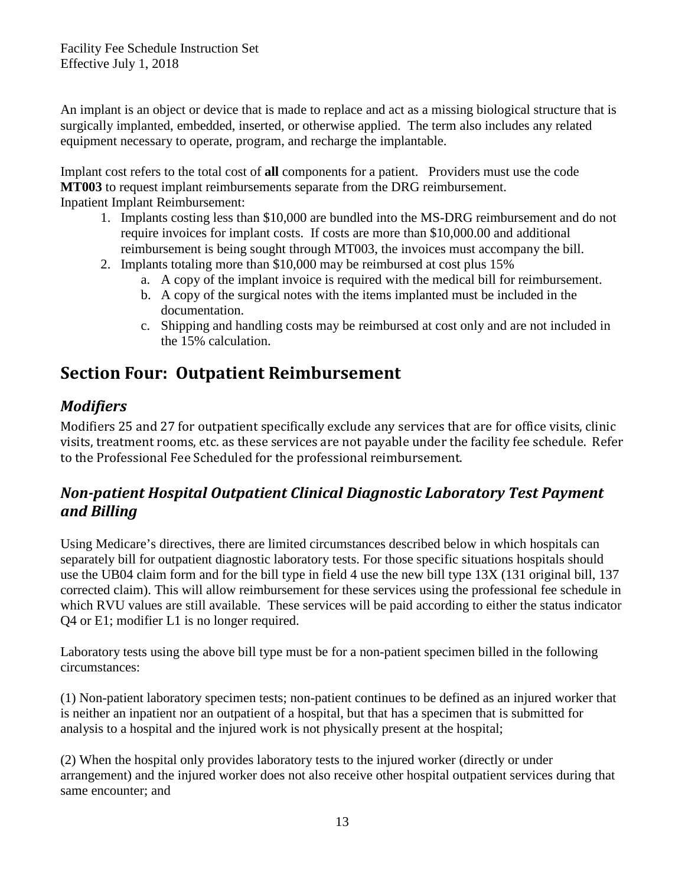<span id="page-12-1"></span>An implant is an object or device that is made to replace and act as a missing biological structure that is surgically implanted, embedded, inserted, or otherwise applied. The term also includes any related equipment necessary to operate, program, and recharge the implantable.

Implant cost refers to the total cost of **all** components for a patient. Providers must use the code **MT003** to request implant reimbursements separate from the DRG reimbursement. Inpatient Implant Reimbursement:

- 1. Implants costing less than \$10,000 are bundled into the MS-DRG reimbursement and do not require invoices for implant costs. If costs are more than \$10,000.00 and additional reimbursement is being sought through MT003, the invoices must accompany the bill.
- 2. Implants totaling more than \$10,000 may be reimbursed at cost plus 15%
	- a. A copy of the implant invoice is required with the medical bill for reimbursement.
	- b. A copy of the surgical notes with the items implanted must be included in the documentation.
	- c. Shipping and handling costs may be reimbursed at cost only and are not included in the 15% calculation.

# **Section Four: Outpatient Reimbursement**

# *Modifiers*

<span id="page-12-0"></span>Modifiers 25 and 27 for outpatient specifically exclude any services that are for office visits, clinic visits, treatment rooms, etc. as these services are not payable under the facility fee schedule. Refer to the Professional Fee Scheduled for the professional reimbursement.

# *Non-patient Hospital Outpatient Clinical Diagnostic Laboratory Test Payment and Billing*

Using Medicare's directives, there are limited circumstances described below in which hospitals can separately bill for outpatient diagnostic laboratory tests. For those specific situations hospitals should use the UB04 claim form and for the bill type in field 4 use the new bill type 13X (131 original bill, 137 corrected claim). This will allow reimbursement for these services using the professional fee schedule in which RVU values are still available. These services will be paid according to either the status indicator Q4 or E1; modifier L1 is no longer required.

Laboratory tests using the above bill type must be for a non-patient specimen billed in the following circumstances:

(1) Non-patient laboratory specimen tests; non-patient continues to be defined as an injured worker that is neither an inpatient nor an outpatient of a hospital, but that has a specimen that is submitted for analysis to a hospital and the injured work is not physically present at the hospital;

(2) When the hospital only provides laboratory tests to the injured worker (directly or under arrangement) and the injured worker does not also receive other hospital outpatient services during that same encounter; and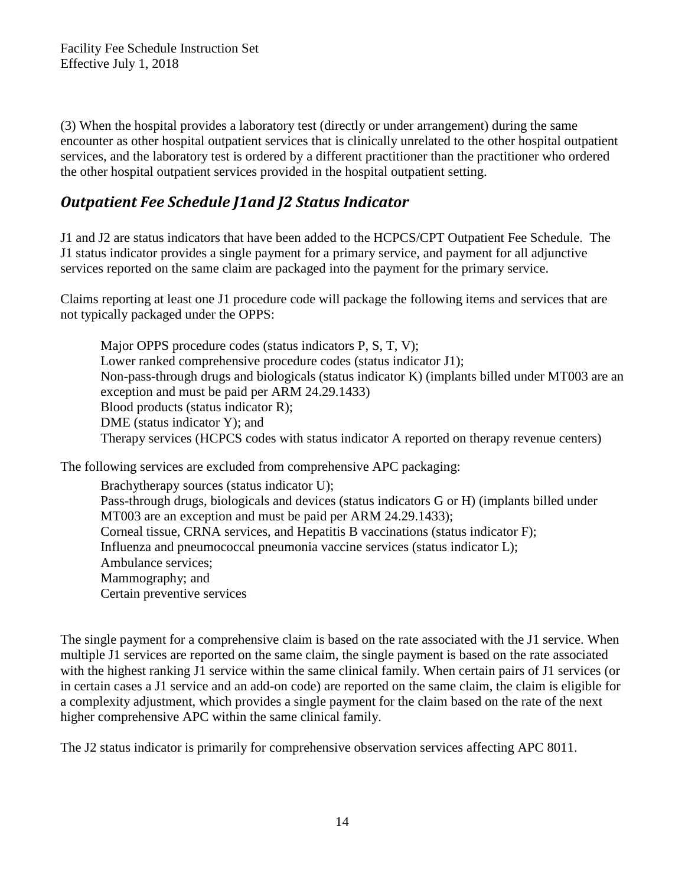<span id="page-13-0"></span>(3) When the hospital provides a laboratory test (directly or under arrangement) during the same encounter as other hospital outpatient services that is clinically unrelated to the other hospital outpatient services, and the laboratory test is ordered by a different practitioner than the practitioner who ordered the other hospital outpatient services provided in the hospital outpatient setting.

# *Outpatient Fee Schedule J1and J2 Status Indicator*

J1 and J2 are status indicators that have been added to the HCPCS/CPT Outpatient Fee Schedule. The J1 status indicator provides a single payment for a primary service, and payment for all adjunctive services reported on the same claim are packaged into the payment for the primary service.

Claims reporting at least one J1 procedure code will package the following items and services that are not typically packaged under the OPPS:

Major OPPS procedure codes (status indicators P, S, T, V); Lower ranked comprehensive procedure codes (status indicator J1); Non-pass-through drugs and biologicals (status indicator K) (implants billed under MT003 are an exception and must be paid per ARM 24.29.1433) Blood products (status indicator R); DME (status indicator Y); and Therapy services (HCPCS codes with status indicator A reported on therapy revenue centers)

The following services are excluded from comprehensive APC packaging:

Brachytherapy sources (status indicator U); Pass-through drugs, biologicals and devices (status indicators G or H) (implants billed under MT003 are an exception and must be paid per ARM 24.29.1433); Corneal tissue, CRNA services, and Hepatitis B vaccinations (status indicator F); Influenza and pneumococcal pneumonia vaccine services (status indicator L); Ambulance services; Mammography; and Certain preventive services

The single payment for a comprehensive claim is based on the rate associated with the J1 service. When multiple J1 services are reported on the same claim, the single payment is based on the rate associated with the highest ranking J1 service within the same clinical family. When certain pairs of J1 services (or in certain cases a J1 service and an add-on code) are reported on the same claim, the claim is eligible for a complexity adjustment, which provides a single payment for the claim based on the rate of the next higher comprehensive APC within the same clinical family.

The J2 status indicator is primarily for comprehensive observation services affecting APC 8011.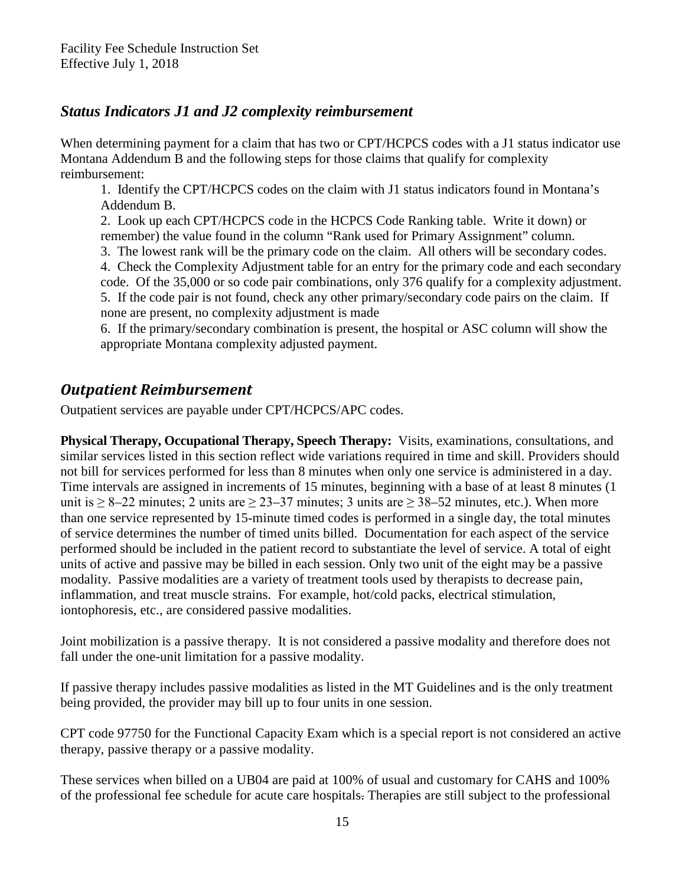### <span id="page-14-0"></span>*Status Indicators J1 and J2 complexity reimbursement*

When determining payment for a claim that has two or CPT/HCPCS codes with a J1 status indicator use Montana Addendum B and the following steps for those claims that qualify for complexity reimbursement:

1. Identify the CPT/HCPCS codes on the claim with J1 status indicators found in Montana's Addendum B.

2. Look up each CPT/HCPCS code in the HCPCS Code Ranking table. Write it down) or remember) the value found in the column "Rank used for Primary Assignment" column.

3. The lowest rank will be the primary code on the claim. All others will be secondary codes.

4. Check the Complexity Adjustment table for an entry for the primary code and each secondary code. Of the 35,000 or so code pair combinations, only 376 qualify for a complexity adjustment. 5. If the code pair is not found, check any other primary/secondary code pairs on the claim. If none are present, no complexity adjustment is made

6. If the primary/secondary combination is present, the hospital or ASC column will show the appropriate Montana complexity adjusted payment.

# *Outpatient Reimbursement*

Outpatient services are payable under CPT/HCPCS/APC codes.

**Physical Therapy, Occupational Therapy, Speech Therapy:** Visits, examinations, consultations, and similar services listed in this section reflect wide variations required in time and skill. Providers should not bill for services performed for less than 8 minutes when only one service is administered in a day. Time intervals are assigned in increments of 15 minutes, beginning with a base of at least 8 minutes (1 unit is  $\geq 8-22$  minutes; 2 units are  $\geq 23-37$  minutes; 3 units are  $\geq 38-52$  minutes, etc.). When more than one service represented by 15-minute timed codes is performed in a single day, the total minutes of service determines the number of timed units billed. Documentation for each aspect of the service performed should be included in the patient record to substantiate the level of service. A total of eight units of active and passive may be billed in each session. Only two unit of the eight may be a passive modality. Passive modalities are a variety of treatment tools used by therapists to decrease pain, inflammation, and treat muscle strains. For example, hot/cold packs, electrical stimulation, iontophoresis, etc., are considered passive modalities.

Joint mobilization is a passive therapy. It is not considered a passive modality and therefore does not fall under the one-unit limitation for a passive modality.

If passive therapy includes passive modalities as listed in the MT Guidelines and is the only treatment being provided, the provider may bill up to four units in one session.

CPT code 97750 for the Functional Capacity Exam which is a special report is not considered an active therapy, passive therapy or a passive modality.

These services when billed on a UB04 are paid at 100% of usual and customary for CAHS and 100% of the professional fee schedule for acute care hospitals. Therapies are still subject to the professional